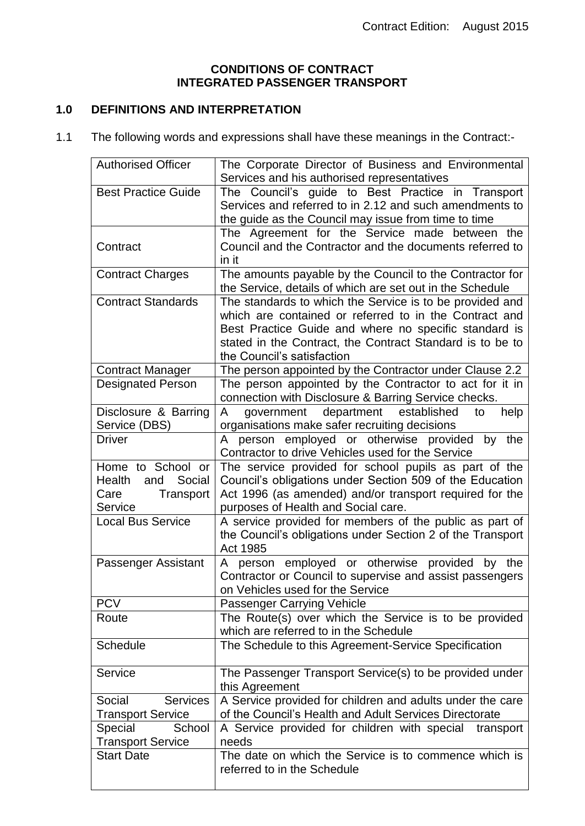### **CONDITIONS OF CONTRACT INTEGRATED PASSENGER TRANSPORT**

# **1.0 DEFINITIONS AND INTERPRETATION**

1.1 The following words and expressions shall have these meanings in the Contract:-

| <b>Authorised Officer</b>             | The Corporate Director of Business and Environmental<br>Services and his authorised representatives                   |  |  |
|---------------------------------------|-----------------------------------------------------------------------------------------------------------------------|--|--|
| <b>Best Practice Guide</b>            | The Council's guide to Best Practice in Transport                                                                     |  |  |
|                                       | Services and referred to in 2.12 and such amendments to                                                               |  |  |
|                                       | the guide as the Council may issue from time to time                                                                  |  |  |
|                                       | The Agreement for the Service made between the                                                                        |  |  |
| Contract                              | Council and the Contractor and the documents referred to                                                              |  |  |
| <b>Contract Charges</b>               | in it<br>The amounts payable by the Council to the Contractor for                                                     |  |  |
|                                       | the Service, details of which are set out in the Schedule                                                             |  |  |
| <b>Contract Standards</b>             | The standards to which the Service is to be provided and<br>which are contained or referred to in the Contract and    |  |  |
|                                       | Best Practice Guide and where no specific standard is                                                                 |  |  |
|                                       | stated in the Contract, the Contract Standard is to be to                                                             |  |  |
|                                       | the Council's satisfaction                                                                                            |  |  |
| <b>Contract Manager</b>               | The person appointed by the Contractor under Clause 2.2                                                               |  |  |
| <b>Designated Person</b>              | The person appointed by the Contractor to act for it in                                                               |  |  |
|                                       | connection with Disclosure & Barring Service checks.                                                                  |  |  |
| Disclosure & Barring<br>Service (DBS) | government department established<br>help<br>A<br>to<br>organisations make safer recruiting decisions                 |  |  |
| <b>Driver</b>                         | A person employed or otherwise provided by<br>the                                                                     |  |  |
|                                       | Contractor to drive Vehicles used for the Service                                                                     |  |  |
| Home to School or                     | The service provided for school pupils as part of the                                                                 |  |  |
| Social<br>Health<br>and               | Council's obligations under Section 509 of the Education                                                              |  |  |
| Care<br>Transport                     | Act 1996 (as amended) and/or transport required for the                                                               |  |  |
| Service<br><b>Local Bus Service</b>   | purposes of Health and Social care.                                                                                   |  |  |
|                                       | A service provided for members of the public as part of<br>the Council's obligations under Section 2 of the Transport |  |  |
|                                       | Act 1985                                                                                                              |  |  |
| Passenger Assistant                   | A person employed or otherwise provided by the                                                                        |  |  |
|                                       | Contractor or Council to supervise and assist passengers                                                              |  |  |
|                                       | on Vehicles used for the Service                                                                                      |  |  |
| <b>PCV</b><br>Route                   | Passenger Carrying Vehicle<br>The Route(s) over which the Service is to be provided                                   |  |  |
|                                       | which are referred to in the Schedule                                                                                 |  |  |
| Schedule                              | The Schedule to this Agreement-Service Specification                                                                  |  |  |
|                                       |                                                                                                                       |  |  |
| Service                               | The Passenger Transport Service(s) to be provided under<br>this Agreement                                             |  |  |
| Social<br><b>Services</b>             | A Service provided for children and adults under the care                                                             |  |  |
| <b>Transport Service</b>              | of the Council's Health and Adult Services Directorate                                                                |  |  |
| Special<br>School                     | A Service provided for children with special transport                                                                |  |  |
| <b>Transport Service</b>              | needs                                                                                                                 |  |  |
| <b>Start Date</b>                     | The date on which the Service is to commence which is                                                                 |  |  |
|                                       | referred to in the Schedule                                                                                           |  |  |
|                                       |                                                                                                                       |  |  |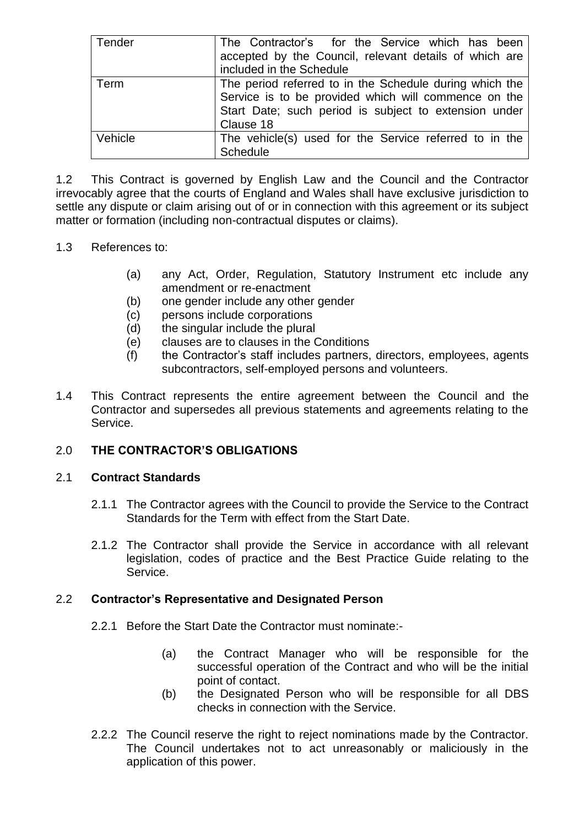| Tender  | The Contractor's for the Service which has been                                                                                                                          |  |  |  |  |
|---------|--------------------------------------------------------------------------------------------------------------------------------------------------------------------------|--|--|--|--|
|         | accepted by the Council, relevant details of which are                                                                                                                   |  |  |  |  |
|         | included in the Schedule                                                                                                                                                 |  |  |  |  |
| Term    | The period referred to in the Schedule during which the<br>Service is to be provided which will commence on the<br>Start Date; such period is subject to extension under |  |  |  |  |
|         |                                                                                                                                                                          |  |  |  |  |
|         |                                                                                                                                                                          |  |  |  |  |
|         | Clause 18                                                                                                                                                                |  |  |  |  |
| Vehicle | The vehicle(s) used for the Service referred to in the                                                                                                                   |  |  |  |  |
|         | <b>Schedule</b>                                                                                                                                                          |  |  |  |  |

1.2 This Contract is governed by English Law and the Council and the Contractor irrevocably agree that the courts of England and Wales shall have exclusive jurisdiction to settle any dispute or claim arising out of or in connection with this agreement or its subject matter or formation (including non-contractual disputes or claims).

### 1.3 References to:

- (a) any Act, Order, Regulation, Statutory Instrument etc include any amendment or re-enactment
- (b) one gender include any other gender
- (c) persons include corporations
- (d) the singular include the plural
- (e) clauses are to clauses in the Conditions
- (f) the Contractor's staff includes partners, directors, employees, agents subcontractors, self-employed persons and volunteers.
- 1.4 This Contract represents the entire agreement between the Council and the Contractor and supersedes all previous statements and agreements relating to the Service.

## 2.0 **THE CONTRACTOR'S OBLIGATIONS**

### 2.1 **Contract Standards**

- 2.1.1 The Contractor agrees with the Council to provide the Service to the Contract Standards for the Term with effect from the Start Date.
- 2.1.2 The Contractor shall provide the Service in accordance with all relevant legislation, codes of practice and the Best Practice Guide relating to the Service.

### 2.2 **Contractor's Representative and Designated Person**

- 2.2.1 Before the Start Date the Contractor must nominate:-
	- (a) the Contract Manager who will be responsible for the successful operation of the Contract and who will be the initial point of contact.
	- (b) the Designated Person who will be responsible for all DBS checks in connection with the Service.
- 2.2.2 The Council reserve the right to reject nominations made by the Contractor. The Council undertakes not to act unreasonably or maliciously in the application of this power.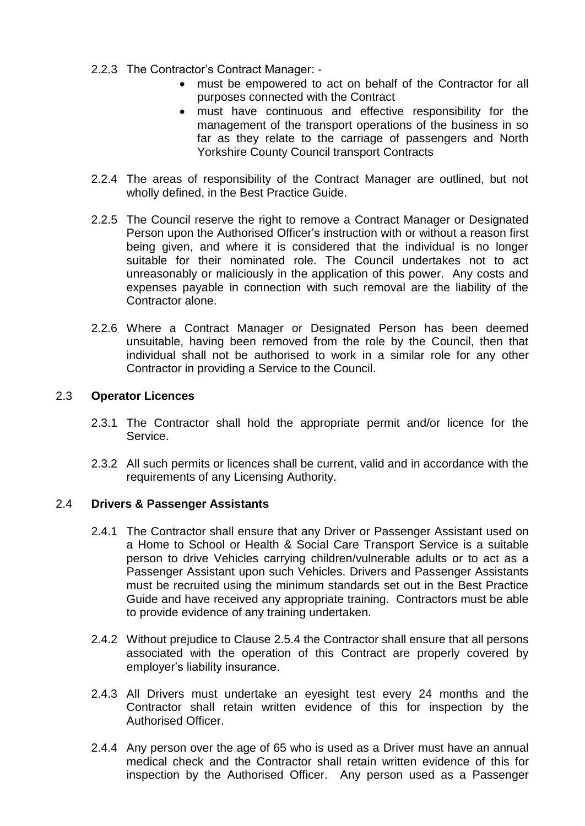- 2.2.3 The Contractor's Contract Manager:
	- must be empowered to act on behalf of the Contractor for all purposes connected with the Contract
	- must have continuous and effective responsibility for the management of the transport operations of the business in so far as they relate to the carriage of passengers and North Yorkshire County Council transport Contracts
- 2.2.4 The areas of responsibility of the Contract Manager are outlined, but not wholly defined, in the Best Practice Guide.
- 2.2.5 The Council reserve the right to remove a Contract Manager or Designated Person upon the Authorised Officer's instruction with or without a reason first being given, and where it is considered that the individual is no longer suitable for their nominated role. The Council undertakes not to act unreasonably or maliciously in the application of this power. Any costs and expenses payable in connection with such removal are the liability of the Contractor alone.
- 2.2.6 Where a Contract Manager or Designated Person has been deemed unsuitable, having been removed from the role by the Council, then that individual shall not be authorised to work in a similar role for any other Contractor in providing a Service to the Council.

### 2.3 **Operator Licences**

- 2.3.1 The Contractor shall hold the appropriate permit and/or licence for the Service.
- 2.3.2 All such permits or licences shall be current, valid and in accordance with the requirements of any Licensing Authority.

### 2.4 **Drivers & Passenger Assistants**

- 2.4.1 The Contractor shall ensure that any Driver or Passenger Assistant used on a Home to School or Health & Social Care Transport Service is a suitable person to drive Vehicles carrying children/vulnerable adults or to act as a Passenger Assistant upon such Vehicles. Drivers and Passenger Assistants must be recruited using the minimum standards set out in the Best Practice Guide and have received any appropriate training. Contractors must be able to provide evidence of any training undertaken.
- 2.4.2 Without prejudice to Clause 2.5.4 the Contractor shall ensure that all persons associated with the operation of this Contract are properly covered by employer's liability insurance.
- 2.4.3 All Drivers must undertake an eyesight test every 24 months and the Contractor shall retain written evidence of this for inspection by the Authorised Officer.
- 2.4.4 Any person over the age of 65 who is used as a Driver must have an annual medical check and the Contractor shall retain written evidence of this for inspection by the Authorised Officer. Any person used as a Passenger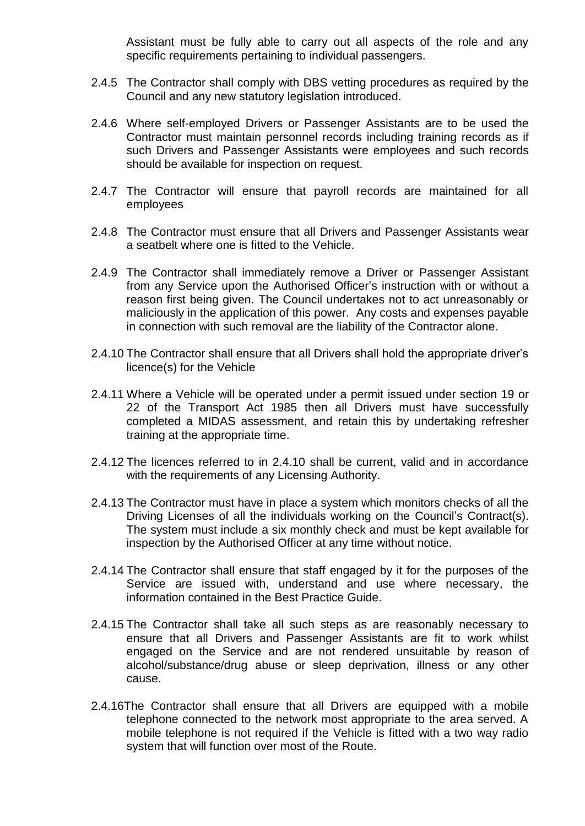Assistant must be fully able to carry out all aspects of the role and any specific requirements pertaining to individual passengers.

- 2.4.5 The Contractor shall comply with DBS vetting procedures as required by the Council and any new statutory legislation introduced.
- 2.4.6 Where self-employed Drivers or Passenger Assistants are to be used the Contractor must maintain personnel records including training records as if such Drivers and Passenger Assistants were employees and such records should be available for inspection on request.
- 2.4.7 The Contractor will ensure that payroll records are maintained for all employees
- 2.4.8 The Contractor must ensure that all Drivers and Passenger Assistants wear a seatbelt where one is fitted to the Vehicle.
- 2.4.9 The Contractor shall immediately remove a Driver or Passenger Assistant from any Service upon the Authorised Officer's instruction with or without a reason first being given. The Council undertakes not to act unreasonably or maliciously in the application of this power. Any costs and expenses payable in connection with such removal are the liability of the Contractor alone.
- 2.4.10 The Contractor shall ensure that all Drivers shall hold the appropriate driver's licence(s) for the Vehicle
- 2.4.11 Where a Vehicle will be operated under a permit issued under section 19 or 22 of the Transport Act 1985 then all Drivers must have successfully completed a MIDAS assessment, and retain this by undertaking refresher training at the appropriate time.
- 2.4.12 The licences referred to in 2.4.10 shall be current, valid and in accordance with the requirements of any Licensing Authority.
- 2.4.13 The Contractor must have in place a system which monitors checks of all the Driving Licenses of all the individuals working on the Council's Contract(s). The system must include a six monthly check and must be kept available for inspection by the Authorised Officer at any time without notice.
- 2.4.14 The Contractor shall ensure that staff engaged by it for the purposes of the Service are issued with, understand and use where necessary, the information contained in the Best Practice Guide.
- 2.4.15 The Contractor shall take all such steps as are reasonably necessary to ensure that all Drivers and Passenger Assistants are fit to work whilst engaged on the Service and are not rendered unsuitable by reason of alcohol/substance/drug abuse or sleep deprivation, illness or any other cause.
- 2.4.16The Contractor shall ensure that all Drivers are equipped with a mobile telephone connected to the network most appropriate to the area served. A mobile telephone is not required if the Vehicle is fitted with a two way radio system that will function over most of the Route.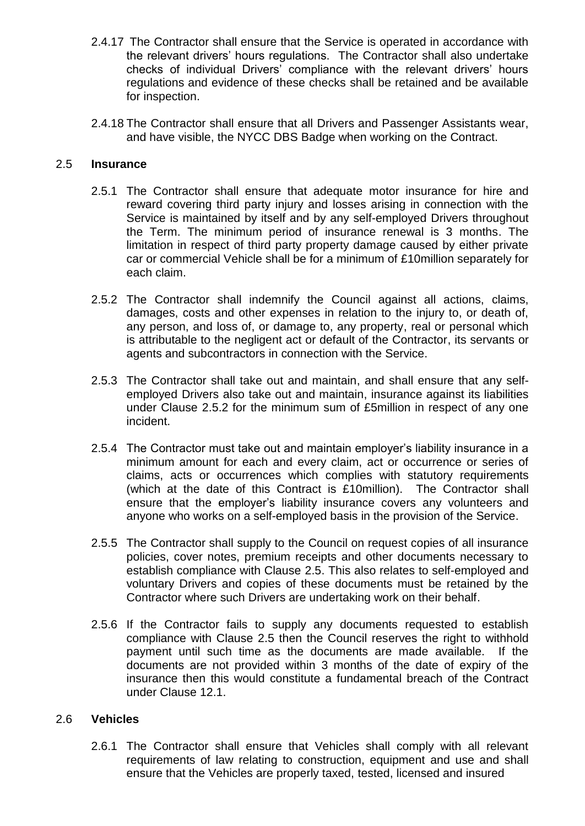- 2.4.17 The Contractor shall ensure that the Service is operated in accordance with the relevant drivers' hours regulations. The Contractor shall also undertake checks of individual Drivers' compliance with the relevant drivers' hours regulations and evidence of these checks shall be retained and be available for inspection.
- 2.4.18 The Contractor shall ensure that all Drivers and Passenger Assistants wear, and have visible, the NYCC DBS Badge when working on the Contract.

#### 2.5 **Insurance**

- 2.5.1 The Contractor shall ensure that adequate motor insurance for hire and reward covering third party injury and losses arising in connection with the Service is maintained by itself and by any self-employed Drivers throughout the Term. The minimum period of insurance renewal is 3 months. The limitation in respect of third party property damage caused by either private car or commercial Vehicle shall be for a minimum of £10million separately for each claim.
- 2.5.2 The Contractor shall indemnify the Council against all actions, claims, damages, costs and other expenses in relation to the injury to, or death of, any person, and loss of, or damage to, any property, real or personal which is attributable to the negligent act or default of the Contractor, its servants or agents and subcontractors in connection with the Service.
- 2.5.3 The Contractor shall take out and maintain, and shall ensure that any selfemployed Drivers also take out and maintain, insurance against its liabilities under Clause 2.5.2 for the minimum sum of £5million in respect of any one incident.
- 2.5.4 The Contractor must take out and maintain employer's liability insurance in a minimum amount for each and every claim, act or occurrence or series of claims, acts or occurrences which complies with statutory requirements (which at the date of this Contract is £10million). The Contractor shall ensure that the employer's liability insurance covers any volunteers and anyone who works on a self-employed basis in the provision of the Service.
- 2.5.5 The Contractor shall supply to the Council on request copies of all insurance policies, cover notes, premium receipts and other documents necessary to establish compliance with Clause 2.5. This also relates to self-employed and voluntary Drivers and copies of these documents must be retained by the Contractor where such Drivers are undertaking work on their behalf.
- 2.5.6 If the Contractor fails to supply any documents requested to establish compliance with Clause 2.5 then the Council reserves the right to withhold payment until such time as the documents are made available. If the documents are not provided within 3 months of the date of expiry of the insurance then this would constitute a fundamental breach of the Contract under Clause 12.1.

#### 2.6 **Vehicles**

2.6.1 The Contractor shall ensure that Vehicles shall comply with all relevant requirements of law relating to construction, equipment and use and shall ensure that the Vehicles are properly taxed, tested, licensed and insured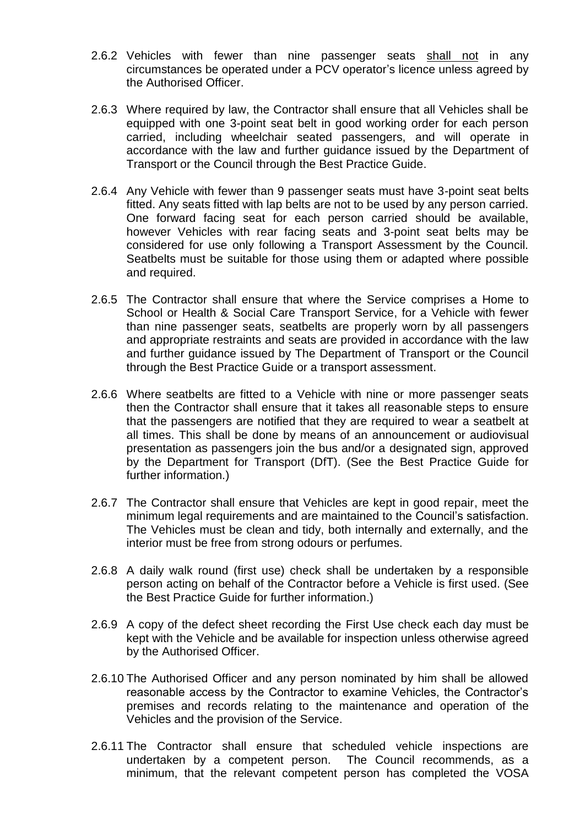- 2.6.2 Vehicles with fewer than nine passenger seats shall not in any circumstances be operated under a PCV operator's licence unless agreed by the Authorised Officer.
- 2.6.3 Where required by law, the Contractor shall ensure that all Vehicles shall be equipped with one 3-point seat belt in good working order for each person carried, including wheelchair seated passengers, and will operate in accordance with the law and further guidance issued by the Department of Transport or the Council through the Best Practice Guide.
- 2.6.4 Any Vehicle with fewer than 9 passenger seats must have 3-point seat belts fitted. Any seats fitted with lap belts are not to be used by any person carried. One forward facing seat for each person carried should be available, however Vehicles with rear facing seats and 3-point seat belts may be considered for use only following a Transport Assessment by the Council. Seatbelts must be suitable for those using them or adapted where possible and required.
- 2.6.5 The Contractor shall ensure that where the Service comprises a Home to School or Health & Social Care Transport Service, for a Vehicle with fewer than nine passenger seats, seatbelts are properly worn by all passengers and appropriate restraints and seats are provided in accordance with the law and further guidance issued by The Department of Transport or the Council through the Best Practice Guide or a transport assessment.
- 2.6.6 Where seatbelts are fitted to a Vehicle with nine or more passenger seats then the Contractor shall ensure that it takes all reasonable steps to ensure that the passengers are notified that they are required to wear a seatbelt at all times. This shall be done by means of an announcement or audiovisual presentation as passengers join the bus and/or a designated sign, approved by the Department for Transport (DfT). (See the Best Practice Guide for further information.)
- 2.6.7 The Contractor shall ensure that Vehicles are kept in good repair, meet the minimum legal requirements and are maintained to the Council's satisfaction. The Vehicles must be clean and tidy, both internally and externally, and the interior must be free from strong odours or perfumes.
- 2.6.8 A daily walk round (first use) check shall be undertaken by a responsible person acting on behalf of the Contractor before a Vehicle is first used. (See the Best Practice Guide for further information.)
- 2.6.9 A copy of the defect sheet recording the First Use check each day must be kept with the Vehicle and be available for inspection unless otherwise agreed by the Authorised Officer.
- 2.6.10 The Authorised Officer and any person nominated by him shall be allowed reasonable access by the Contractor to examine Vehicles, the Contractor's premises and records relating to the maintenance and operation of the Vehicles and the provision of the Service.
- 2.6.11 The Contractor shall ensure that scheduled vehicle inspections are undertaken by a competent person. The Council recommends, as a minimum, that the relevant competent person has completed the VOSA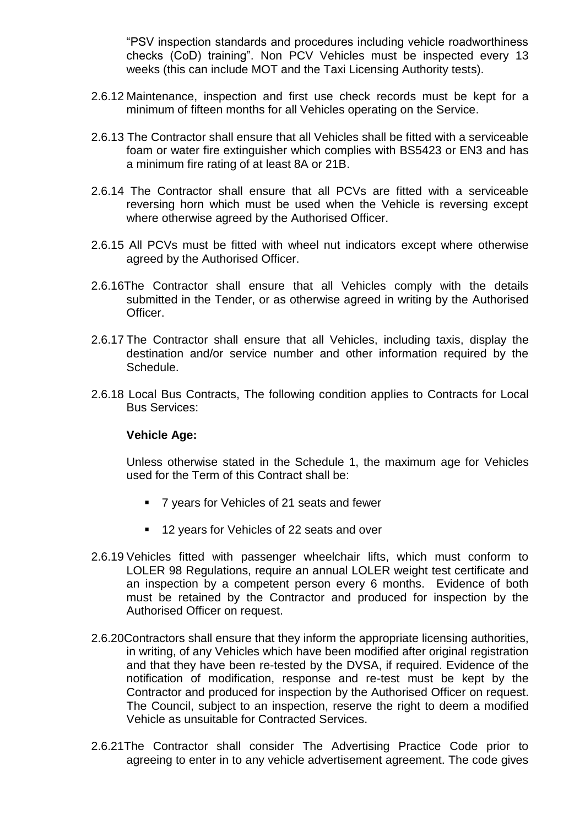"PSV inspection standards and procedures including vehicle roadworthiness checks (CoD) training". Non PCV Vehicles must be inspected every 13 weeks (this can include MOT and the Taxi Licensing Authority tests).

- 2.6.12 Maintenance, inspection and first use check records must be kept for a minimum of fifteen months for all Vehicles operating on the Service.
- 2.6.13 The Contractor shall ensure that all Vehicles shall be fitted with a serviceable foam or water fire extinguisher which complies with BS5423 or EN3 and has a minimum fire rating of at least 8A or 21B.
- 2.6.14 The Contractor shall ensure that all PCVs are fitted with a serviceable reversing horn which must be used when the Vehicle is reversing except where otherwise agreed by the Authorised Officer.
- 2.6.15 All PCVs must be fitted with wheel nut indicators except where otherwise agreed by the Authorised Officer.
- 2.6.16The Contractor shall ensure that all Vehicles comply with the details submitted in the Tender, or as otherwise agreed in writing by the Authorised Officer.
- 2.6.17 The Contractor shall ensure that all Vehicles, including taxis, display the destination and/or service number and other information required by the Schedule.
- 2.6.18 Local Bus Contracts, The following condition applies to Contracts for Local Bus Services:

#### **Vehicle Age:**

Unless otherwise stated in the Schedule 1, the maximum age for Vehicles used for the Term of this Contract shall be:

- 7 years for Vehicles of 21 seats and fewer
- 12 years for Vehicles of 22 seats and over
- 2.6.19 Vehicles fitted with passenger wheelchair lifts, which must conform to LOLER 98 Regulations, require an annual LOLER weight test certificate and an inspection by a competent person every 6 months. Evidence of both must be retained by the Contractor and produced for inspection by the Authorised Officer on request.
- 2.6.20Contractors shall ensure that they inform the appropriate licensing authorities, in writing, of any Vehicles which have been modified after original registration and that they have been re-tested by the DVSA, if required. Evidence of the notification of modification, response and re-test must be kept by the Contractor and produced for inspection by the Authorised Officer on request. The Council, subject to an inspection, reserve the right to deem a modified Vehicle as unsuitable for Contracted Services.
- 2.6.21The Contractor shall consider The Advertising Practice Code prior to agreeing to enter in to any vehicle advertisement agreement. The code gives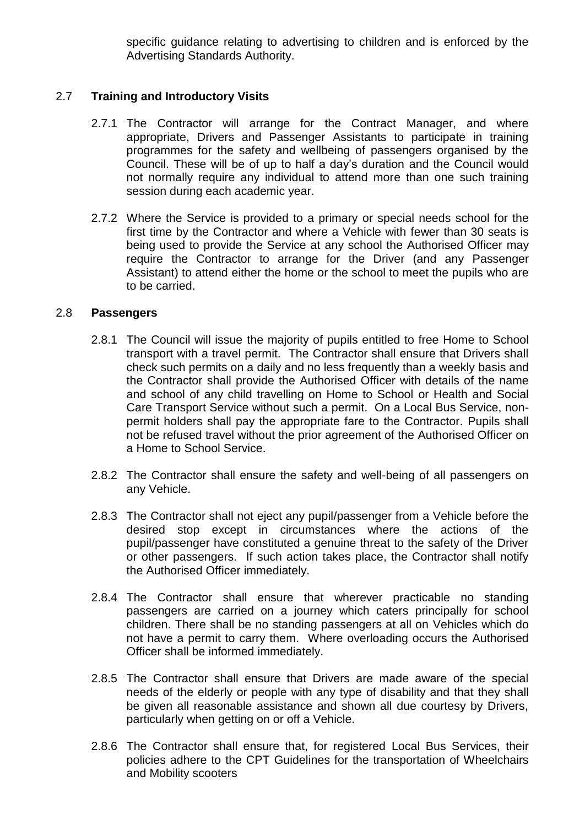specific guidance relating to advertising to children and is enforced by the Advertising Standards Authority.

## 2.7 **Training and Introductory Visits**

- 2.7.1 The Contractor will arrange for the Contract Manager, and where appropriate, Drivers and Passenger Assistants to participate in training programmes for the safety and wellbeing of passengers organised by the Council. These will be of up to half a day's duration and the Council would not normally require any individual to attend more than one such training session during each academic year.
- 2.7.2 Where the Service is provided to a primary or special needs school for the first time by the Contractor and where a Vehicle with fewer than 30 seats is being used to provide the Service at any school the Authorised Officer may require the Contractor to arrange for the Driver (and any Passenger Assistant) to attend either the home or the school to meet the pupils who are to be carried.

#### 2.8 **Passengers**

- 2.8.1 The Council will issue the majority of pupils entitled to free Home to School transport with a travel permit. The Contractor shall ensure that Drivers shall check such permits on a daily and no less frequently than a weekly basis and the Contractor shall provide the Authorised Officer with details of the name and school of any child travelling on Home to School or Health and Social Care Transport Service without such a permit. On a Local Bus Service, nonpermit holders shall pay the appropriate fare to the Contractor. Pupils shall not be refused travel without the prior agreement of the Authorised Officer on a Home to School Service.
- 2.8.2 The Contractor shall ensure the safety and well-being of all passengers on any Vehicle.
- 2.8.3 The Contractor shall not eject any pupil/passenger from a Vehicle before the desired stop except in circumstances where the actions of the pupil/passenger have constituted a genuine threat to the safety of the Driver or other passengers. If such action takes place, the Contractor shall notify the Authorised Officer immediately.
- 2.8.4 The Contractor shall ensure that wherever practicable no standing passengers are carried on a journey which caters principally for school children. There shall be no standing passengers at all on Vehicles which do not have a permit to carry them. Where overloading occurs the Authorised Officer shall be informed immediately.
- 2.8.5 The Contractor shall ensure that Drivers are made aware of the special needs of the elderly or people with any type of disability and that they shall be given all reasonable assistance and shown all due courtesy by Drivers, particularly when getting on or off a Vehicle.
- 2.8.6 The Contractor shall ensure that, for registered Local Bus Services, their policies adhere to the CPT Guidelines for the transportation of Wheelchairs and Mobility scooters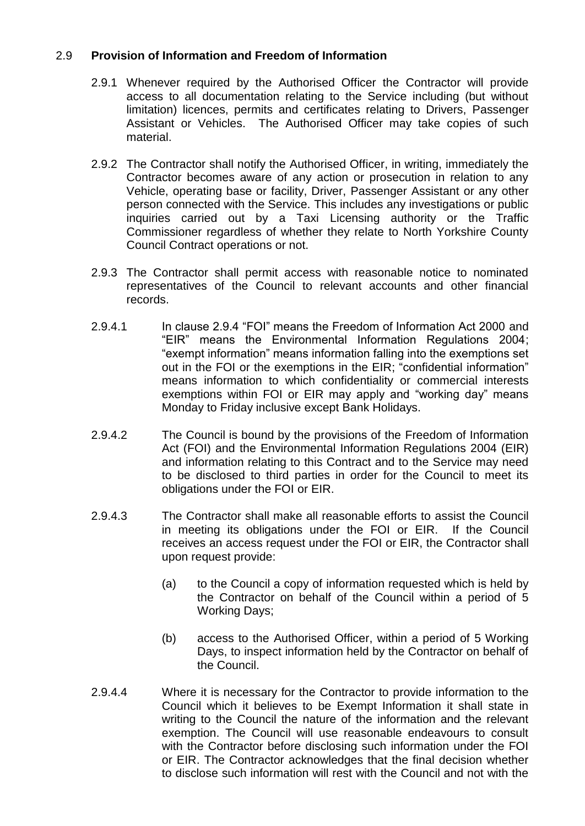### 2.9 **Provision of Information and Freedom of Information**

- 2.9.1 Whenever required by the Authorised Officer the Contractor will provide access to all documentation relating to the Service including (but without limitation) licences, permits and certificates relating to Drivers, Passenger Assistant or Vehicles. The Authorised Officer may take copies of such material.
- 2.9.2 The Contractor shall notify the Authorised Officer, in writing, immediately the Contractor becomes aware of any action or prosecution in relation to any Vehicle, operating base or facility, Driver, Passenger Assistant or any other person connected with the Service. This includes any investigations or public inquiries carried out by a Taxi Licensing authority or the Traffic Commissioner regardless of whether they relate to North Yorkshire County Council Contract operations or not.
- 2.9.3 The Contractor shall permit access with reasonable notice to nominated representatives of the Council to relevant accounts and other financial records.
- 2.9.4.1 In clause 2.9.4 "FOI" means the Freedom of Information Act 2000 and "EIR" means the Environmental Information Regulations 2004; "exempt information" means information falling into the exemptions set out in the FOI or the exemptions in the EIR; "confidential information" means information to which confidentiality or commercial interests exemptions within FOI or EIR may apply and "working day" means Monday to Friday inclusive except Bank Holidays.
- 2.9.4.2 The Council is bound by the provisions of the Freedom of Information Act (FOI) and the Environmental Information Regulations 2004 (EIR) and information relating to this Contract and to the Service may need to be disclosed to third parties in order for the Council to meet its obligations under the FOI or EIR.
- 2.9.4.3 The Contractor shall make all reasonable efforts to assist the Council in meeting its obligations under the FOI or EIR. If the Council receives an access request under the FOI or EIR, the Contractor shall upon request provide:
	- (a) to the Council a copy of information requested which is held by the Contractor on behalf of the Council within a period of 5 Working Days;
	- (b) access to the Authorised Officer, within a period of 5 Working Days, to inspect information held by the Contractor on behalf of the Council.
- 2.9.4.4 Where it is necessary for the Contractor to provide information to the Council which it believes to be Exempt Information it shall state in writing to the Council the nature of the information and the relevant exemption. The Council will use reasonable endeavours to consult with the Contractor before disclosing such information under the FOI or EIR. The Contractor acknowledges that the final decision whether to disclose such information will rest with the Council and not with the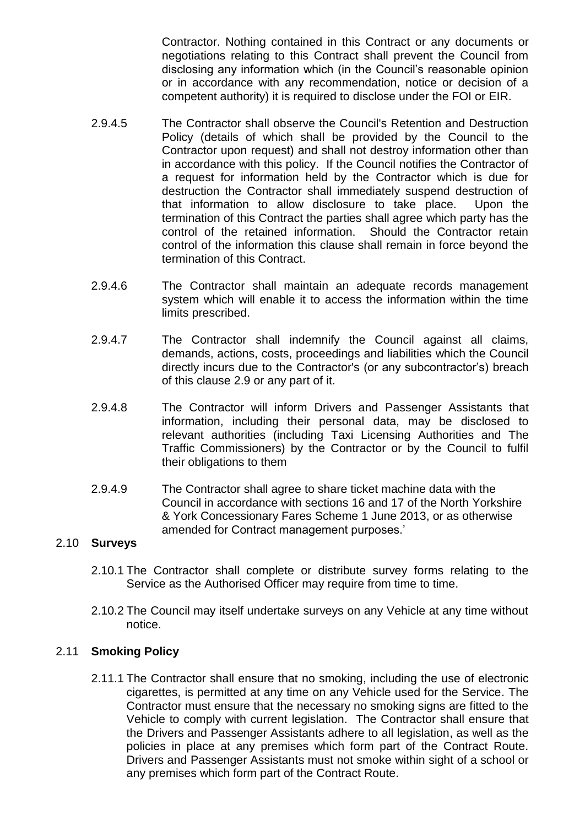Contractor. Nothing contained in this Contract or any documents or negotiations relating to this Contract shall prevent the Council from disclosing any information which (in the Council's reasonable opinion or in accordance with any recommendation, notice or decision of a competent authority) it is required to disclose under the FOI or EIR.

- 2.9.4.5 The Contractor shall observe the Council's Retention and Destruction Policy (details of which shall be provided by the Council to the Contractor upon request) and shall not destroy information other than in accordance with this policy. If the Council notifies the Contractor of a request for information held by the Contractor which is due for destruction the Contractor shall immediately suspend destruction of that information to allow disclosure to take place. Upon the termination of this Contract the parties shall agree which party has the control of the retained information. Should the Contractor retain control of the information this clause shall remain in force beyond the termination of this Contract.
- 2.9.4.6 The Contractor shall maintain an adequate records management system which will enable it to access the information within the time limits prescribed.
- 2.9.4.7 The Contractor shall indemnify the Council against all claims, demands, actions, costs, proceedings and liabilities which the Council directly incurs due to the Contractor's (or any subcontractor's) breach of this clause 2.9 or any part of it.
- 2.9.4.8 The Contractor will inform Drivers and Passenger Assistants that information, including their personal data, may be disclosed to relevant authorities (including Taxi Licensing Authorities and The Traffic Commissioners) by the Contractor or by the Council to fulfil their obligations to them
- 2.9.4.9 The Contractor shall agree to share ticket machine data with the Council in accordance with sections 16 and 17 of the North Yorkshire & York Concessionary Fares Scheme 1 June 2013, or as otherwise amended for Contract management purposes.'

### 2.10 **Surveys**

- 2.10.1 The Contractor shall complete or distribute survey forms relating to the Service as the Authorised Officer may require from time to time.
- 2.10.2 The Council may itself undertake surveys on any Vehicle at any time without notice.

### 2.11 **Smoking Policy**

2.11.1 The Contractor shall ensure that no smoking, including the use of electronic cigarettes, is permitted at any time on any Vehicle used for the Service. The Contractor must ensure that the necessary no smoking signs are fitted to the Vehicle to comply with current legislation. The Contractor shall ensure that the Drivers and Passenger Assistants adhere to all legislation, as well as the policies in place at any premises which form part of the Contract Route. Drivers and Passenger Assistants must not smoke within sight of a school or any premises which form part of the Contract Route.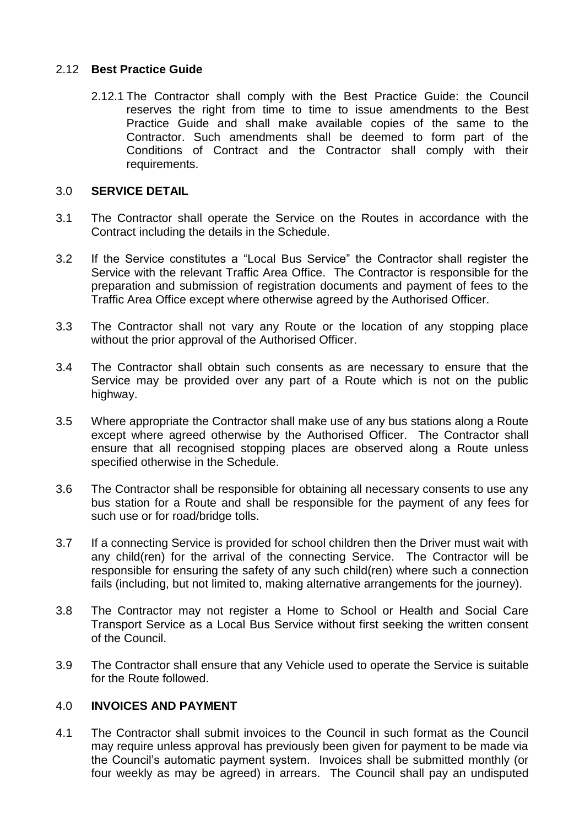### 2.12 **Best Practice Guide**

2.12.1 The Contractor shall comply with the Best Practice Guide: the Council reserves the right from time to time to issue amendments to the Best Practice Guide and shall make available copies of the same to the Contractor. Such amendments shall be deemed to form part of the Conditions of Contract and the Contractor shall comply with their requirements.

### 3.0 **SERVICE DETAIL**

- 3.1 The Contractor shall operate the Service on the Routes in accordance with the Contract including the details in the Schedule.
- 3.2 If the Service constitutes a "Local Bus Service" the Contractor shall register the Service with the relevant Traffic Area Office. The Contractor is responsible for the preparation and submission of registration documents and payment of fees to the Traffic Area Office except where otherwise agreed by the Authorised Officer.
- 3.3 The Contractor shall not vary any Route or the location of any stopping place without the prior approval of the Authorised Officer.
- 3.4 The Contractor shall obtain such consents as are necessary to ensure that the Service may be provided over any part of a Route which is not on the public highway.
- 3.5 Where appropriate the Contractor shall make use of any bus stations along a Route except where agreed otherwise by the Authorised Officer. The Contractor shall ensure that all recognised stopping places are observed along a Route unless specified otherwise in the Schedule.
- 3.6 The Contractor shall be responsible for obtaining all necessary consents to use any bus station for a Route and shall be responsible for the payment of any fees for such use or for road/bridge tolls.
- 3.7 If a connecting Service is provided for school children then the Driver must wait with any child(ren) for the arrival of the connecting Service. The Contractor will be responsible for ensuring the safety of any such child(ren) where such a connection fails (including, but not limited to, making alternative arrangements for the journey).
- 3.8 The Contractor may not register a Home to School or Health and Social Care Transport Service as a Local Bus Service without first seeking the written consent of the Council.
- 3.9 The Contractor shall ensure that any Vehicle used to operate the Service is suitable for the Route followed.

## 4.0 **INVOICES AND PAYMENT**

4.1 The Contractor shall submit invoices to the Council in such format as the Council may require unless approval has previously been given for payment to be made via the Council's automatic payment system. Invoices shall be submitted monthly (or four weekly as may be agreed) in arrears. The Council shall pay an undisputed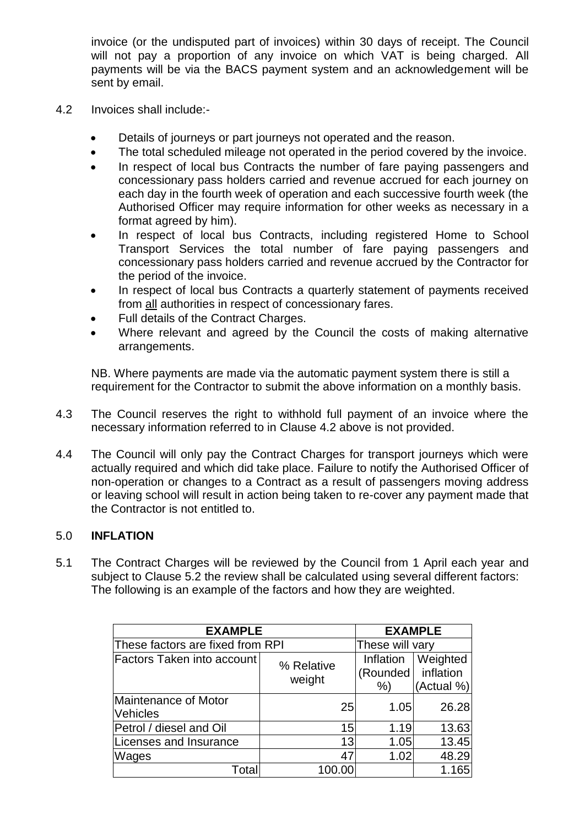invoice (or the undisputed part of invoices) within 30 days of receipt. The Council will not pay a proportion of any invoice on which VAT is being charged. All payments will be via the BACS payment system and an acknowledgement will be sent by email.

- 4.2 Invoices shall include:-
	- Details of journeys or part journeys not operated and the reason.
	- The total scheduled mileage not operated in the period covered by the invoice.
	- In respect of local bus Contracts the number of fare paying passengers and concessionary pass holders carried and revenue accrued for each journey on each day in the fourth week of operation and each successive fourth week (the Authorised Officer may require information for other weeks as necessary in a format agreed by him).
	- In respect of local bus Contracts, including registered Home to School Transport Services the total number of fare paying passengers and concessionary pass holders carried and revenue accrued by the Contractor for the period of the invoice.
	- In respect of local bus Contracts a quarterly statement of payments received from all authorities in respect of concessionary fares.
	- Full details of the Contract Charges.
	- Where relevant and agreed by the Council the costs of making alternative arrangements.

NB. Where payments are made via the automatic payment system there is still a requirement for the Contractor to submit the above information on a monthly basis.

- 4.3 The Council reserves the right to withhold full payment of an invoice where the necessary information referred to in Clause 4.2 above is not provided.
- 4.4 The Council will only pay the Contract Charges for transport journeys which were actually required and which did take place. Failure to notify the Authorised Officer of non-operation or changes to a Contract as a result of passengers moving address or leaving school will result in action being taken to re-cover any payment made that the Contractor is not entitled to.

### 5.0 **INFLATION**

5.1 The Contract Charges will be reviewed by the Council from 1 April each year and subject to Clause 5.2 the review shall be calculated using several different factors: The following is an example of the factors and how they are weighted.

| <b>EXAMPLE</b>                          | <b>EXAMPLE</b>       |                              |                                     |
|-----------------------------------------|----------------------|------------------------------|-------------------------------------|
| These factors are fixed from RPI        | These will vary      |                              |                                     |
| <b>Factors Taken into account</b>       | % Relative<br>weight | Inflation<br>(Rounded)<br>%) | Weighted<br>inflation<br>(Actual %) |
| Maintenance of Motor<br><b>Vehicles</b> | 25                   | 1.05                         | 26.28                               |
| Petrol / diesel and Oil                 | 15                   | 1.19                         | 13.63                               |
| Licenses and Insurance                  | 13                   | 1.05                         | 13.45                               |
| Wages                                   | 47                   | 1.02                         | 48.29                               |
| Total                                   | 100.00               |                              | 1.165                               |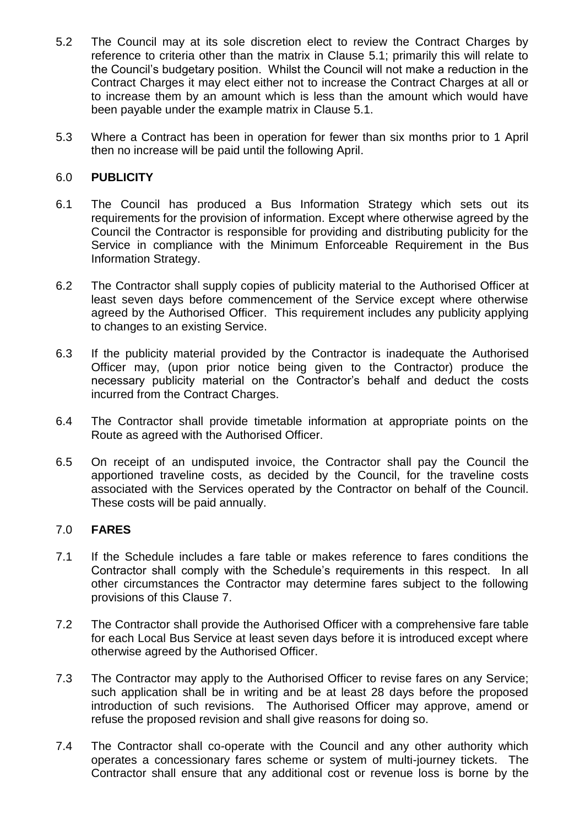- 5.2 The Council may at its sole discretion elect to review the Contract Charges by reference to criteria other than the matrix in Clause 5.1; primarily this will relate to the Council's budgetary position. Whilst the Council will not make a reduction in the Contract Charges it may elect either not to increase the Contract Charges at all or to increase them by an amount which is less than the amount which would have been payable under the example matrix in Clause 5.1.
- 5.3 Where a Contract has been in operation for fewer than six months prior to 1 April then no increase will be paid until the following April.

### 6.0 **PUBLICITY**

- 6.1 The Council has produced a Bus Information Strategy which sets out its requirements for the provision of information. Except where otherwise agreed by the Council the Contractor is responsible for providing and distributing publicity for the Service in compliance with the Minimum Enforceable Requirement in the Bus Information Strategy.
- 6.2 The Contractor shall supply copies of publicity material to the Authorised Officer at least seven days before commencement of the Service except where otherwise agreed by the Authorised Officer. This requirement includes any publicity applying to changes to an existing Service.
- 6.3 If the publicity material provided by the Contractor is inadequate the Authorised Officer may, (upon prior notice being given to the Contractor) produce the necessary publicity material on the Contractor's behalf and deduct the costs incurred from the Contract Charges.
- 6.4 The Contractor shall provide timetable information at appropriate points on the Route as agreed with the Authorised Officer.
- 6.5 On receipt of an undisputed invoice, the Contractor shall pay the Council the apportioned traveline costs, as decided by the Council, for the traveline costs associated with the Services operated by the Contractor on behalf of the Council. These costs will be paid annually.

#### 7.0 **FARES**

- 7.1 If the Schedule includes a fare table or makes reference to fares conditions the Contractor shall comply with the Schedule's requirements in this respect. In all other circumstances the Contractor may determine fares subject to the following provisions of this Clause 7.
- 7.2 The Contractor shall provide the Authorised Officer with a comprehensive fare table for each Local Bus Service at least seven days before it is introduced except where otherwise agreed by the Authorised Officer.
- 7.3 The Contractor may apply to the Authorised Officer to revise fares on any Service; such application shall be in writing and be at least 28 days before the proposed introduction of such revisions. The Authorised Officer may approve, amend or refuse the proposed revision and shall give reasons for doing so.
- 7.4 The Contractor shall co-operate with the Council and any other authority which operates a concessionary fares scheme or system of multi-journey tickets. The Contractor shall ensure that any additional cost or revenue loss is borne by the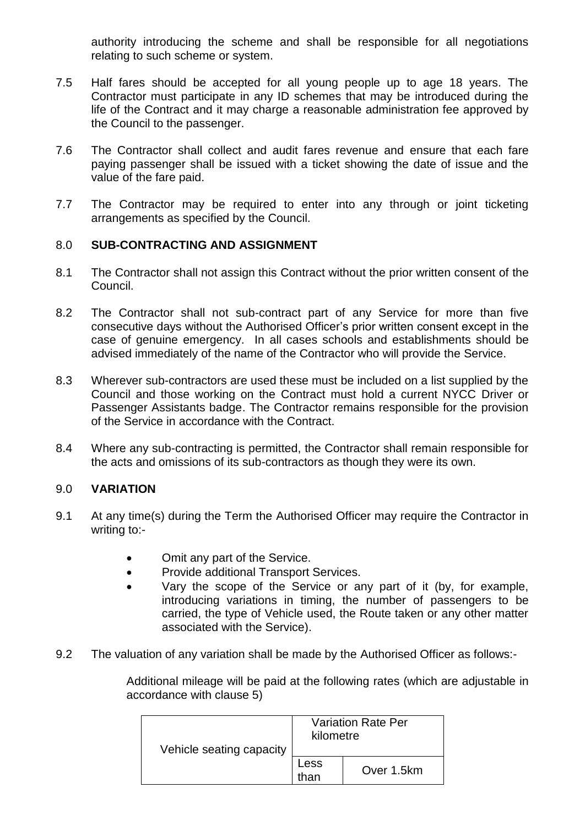authority introducing the scheme and shall be responsible for all negotiations relating to such scheme or system.

- 7.5 Half fares should be accepted for all young people up to age 18 years. The Contractor must participate in any ID schemes that may be introduced during the life of the Contract and it may charge a reasonable administration fee approved by the Council to the passenger.
- 7.6 The Contractor shall collect and audit fares revenue and ensure that each fare paying passenger shall be issued with a ticket showing the date of issue and the value of the fare paid.
- 7.7 The Contractor may be required to enter into any through or joint ticketing arrangements as specified by the Council.

### 8.0 **SUB-CONTRACTING AND ASSIGNMENT**

- 8.1 The Contractor shall not assign this Contract without the prior written consent of the Council.
- 8.2 The Contractor shall not sub-contract part of any Service for more than five consecutive days without the Authorised Officer's prior written consent except in the case of genuine emergency. In all cases schools and establishments should be advised immediately of the name of the Contractor who will provide the Service.
- 8.3 Wherever sub-contractors are used these must be included on a list supplied by the Council and those working on the Contract must hold a current NYCC Driver or Passenger Assistants badge. The Contractor remains responsible for the provision of the Service in accordance with the Contract.
- 8.4 Where any sub-contracting is permitted, the Contractor shall remain responsible for the acts and omissions of its sub-contractors as though they were its own.

## 9.0 **VARIATION**

- 9.1 At any time(s) during the Term the Authorised Officer may require the Contractor in writing to:-
	- Omit any part of the Service.
	- Provide additional Transport Services.
	- Vary the scope of the Service or any part of it (by, for example, introducing variations in timing, the number of passengers to be carried, the type of Vehicle used, the Route taken or any other matter associated with the Service).
- 9.2 The valuation of any variation shall be made by the Authorised Officer as follows:-

Additional mileage will be paid at the following rates (which are adjustable in accordance with clause 5)

| Vehicle seating capacity | <b>Variation Rate Per</b><br>kilometre |            |
|--------------------------|----------------------------------------|------------|
|                          | Less<br>than                           | Over 1.5km |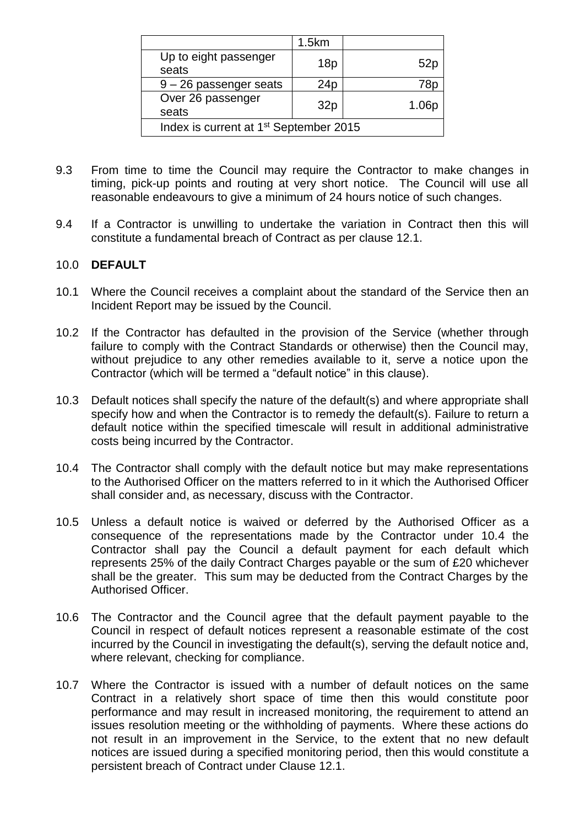|                                                    | 1.5km           |       |  |
|----------------------------------------------------|-----------------|-------|--|
| Up to eight passenger<br>seats                     | 18p             | 52p   |  |
| $9 - 26$ passenger seats                           | 24 <sub>p</sub> | 78p   |  |
| Over 26 passenger<br>seats                         | 32p             | 1.06p |  |
| Index is current at 1 <sup>st</sup> September 2015 |                 |       |  |

- 9.3 From time to time the Council may require the Contractor to make changes in timing, pick-up points and routing at very short notice. The Council will use all reasonable endeavours to give a minimum of 24 hours notice of such changes.
- 9.4 If a Contractor is unwilling to undertake the variation in Contract then this will constitute a fundamental breach of Contract as per clause 12.1.

### 10.0 **DEFAULT**

- 10.1 Where the Council receives a complaint about the standard of the Service then an Incident Report may be issued by the Council.
- 10.2 If the Contractor has defaulted in the provision of the Service (whether through failure to comply with the Contract Standards or otherwise) then the Council may, without prejudice to any other remedies available to it, serve a notice upon the Contractor (which will be termed a "default notice" in this clause).
- 10.3 Default notices shall specify the nature of the default(s) and where appropriate shall specify how and when the Contractor is to remedy the default(s). Failure to return a default notice within the specified timescale will result in additional administrative costs being incurred by the Contractor.
- 10.4 The Contractor shall comply with the default notice but may make representations to the Authorised Officer on the matters referred to in it which the Authorised Officer shall consider and, as necessary, discuss with the Contractor.
- 10.5 Unless a default notice is waived or deferred by the Authorised Officer as a consequence of the representations made by the Contractor under 10.4 the Contractor shall pay the Council a default payment for each default which represents 25% of the daily Contract Charges payable or the sum of £20 whichever shall be the greater. This sum may be deducted from the Contract Charges by the Authorised Officer.
- 10.6 The Contractor and the Council agree that the default payment payable to the Council in respect of default notices represent a reasonable estimate of the cost incurred by the Council in investigating the default(s), serving the default notice and, where relevant, checking for compliance.
- 10.7 Where the Contractor is issued with a number of default notices on the same Contract in a relatively short space of time then this would constitute poor performance and may result in increased monitoring, the requirement to attend an issues resolution meeting or the withholding of payments. Where these actions do not result in an improvement in the Service, to the extent that no new default notices are issued during a specified monitoring period, then this would constitute a persistent breach of Contract under Clause 12.1.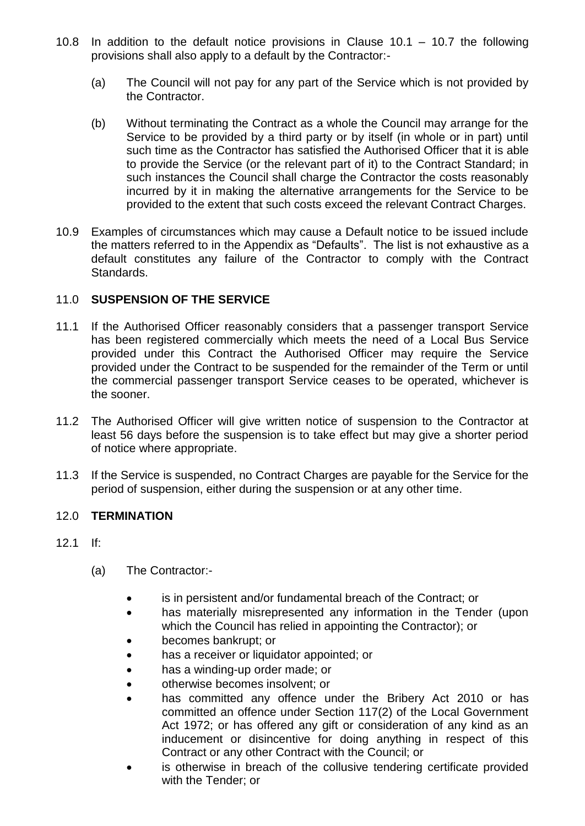- 10.8 In addition to the default notice provisions in Clause 10.1 10.7 the following provisions shall also apply to a default by the Contractor:-
	- (a) The Council will not pay for any part of the Service which is not provided by the Contractor.
	- (b) Without terminating the Contract as a whole the Council may arrange for the Service to be provided by a third party or by itself (in whole or in part) until such time as the Contractor has satisfied the Authorised Officer that it is able to provide the Service (or the relevant part of it) to the Contract Standard; in such instances the Council shall charge the Contractor the costs reasonably incurred by it in making the alternative arrangements for the Service to be provided to the extent that such costs exceed the relevant Contract Charges.
- 10.9 Examples of circumstances which may cause a Default notice to be issued include the matters referred to in the Appendix as "Defaults". The list is not exhaustive as a default constitutes any failure of the Contractor to comply with the Contract Standards.

### 11.0 **SUSPENSION OF THE SERVICE**

- 11.1 If the Authorised Officer reasonably considers that a passenger transport Service has been registered commercially which meets the need of a Local Bus Service provided under this Contract the Authorised Officer may require the Service provided under the Contract to be suspended for the remainder of the Term or until the commercial passenger transport Service ceases to be operated, whichever is the sooner.
- 11.2 The Authorised Officer will give written notice of suspension to the Contractor at least 56 days before the suspension is to take effect but may give a shorter period of notice where appropriate.
- 11.3 If the Service is suspended, no Contract Charges are payable for the Service for the period of suspension, either during the suspension or at any other time.

### 12.0 **TERMINATION**

- 12.1 If:
	- (a) The Contractor:
		- is in persistent and/or fundamental breach of the Contract; or
		- has materially misrepresented any information in the Tender (upon which the Council has relied in appointing the Contractor); or
		- becomes bankrupt; or
		- has a receiver or liquidator appointed; or
		- has a winding-up order made; or
		- otherwise becomes insolvent; or
		- has committed any offence under the Bribery Act 2010 or has committed an offence under Section 117(2) of the Local Government Act 1972; or has offered any gift or consideration of any kind as an inducement or disincentive for doing anything in respect of this Contract or any other Contract with the Council; or
		- is otherwise in breach of the collusive tendering certificate provided with the Tender; or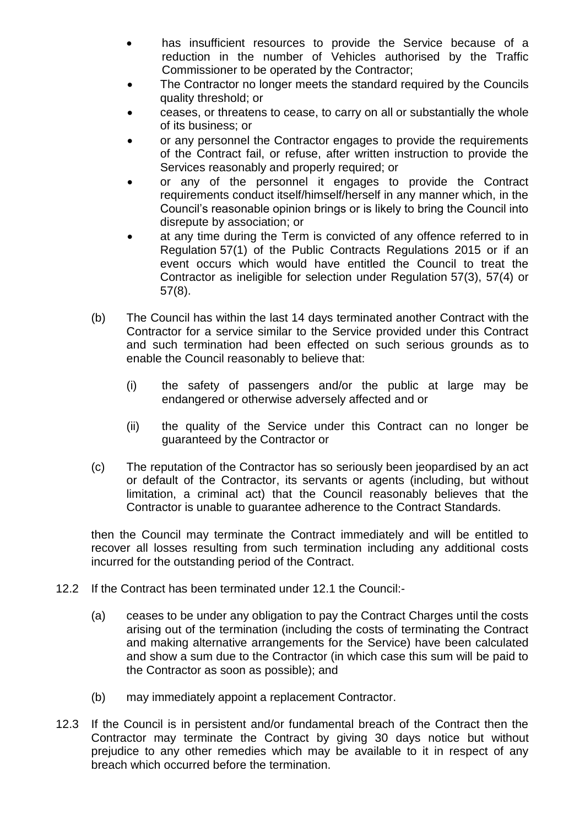- has insufficient resources to provide the Service because of a reduction in the number of Vehicles authorised by the Traffic Commissioner to be operated by the Contractor;
- The Contractor no longer meets the standard required by the Councils quality threshold; or
- ceases, or threatens to cease, to carry on all or substantially the whole of its business; or
- or any personnel the Contractor engages to provide the requirements of the Contract fail, or refuse, after written instruction to provide the Services reasonably and properly required; or
- or any of the personnel it engages to provide the Contract requirements conduct itself/himself/herself in any manner which, in the Council's reasonable opinion brings or is likely to bring the Council into disrepute by association; or
- at any time during the Term is convicted of any offence referred to in Regulation 57(1) of the Public Contracts Regulations 2015 or if an event occurs which would have entitled the Council to treat the Contractor as ineligible for selection under Regulation 57(3), 57(4) or 57(8).
- (b) The Council has within the last 14 days terminated another Contract with the Contractor for a service similar to the Service provided under this Contract and such termination had been effected on such serious grounds as to enable the Council reasonably to believe that:
	- (i) the safety of passengers and/or the public at large may be endangered or otherwise adversely affected and or
	- (ii) the quality of the Service under this Contract can no longer be guaranteed by the Contractor or
- (c) The reputation of the Contractor has so seriously been jeopardised by an act or default of the Contractor, its servants or agents (including, but without limitation, a criminal act) that the Council reasonably believes that the Contractor is unable to guarantee adherence to the Contract Standards.

then the Council may terminate the Contract immediately and will be entitled to recover all losses resulting from such termination including any additional costs incurred for the outstanding period of the Contract.

- 12.2 If the Contract has been terminated under 12.1 the Council:-
	- (a) ceases to be under any obligation to pay the Contract Charges until the costs arising out of the termination (including the costs of terminating the Contract and making alternative arrangements for the Service) have been calculated and show a sum due to the Contractor (in which case this sum will be paid to the Contractor as soon as possible); and
	- (b) may immediately appoint a replacement Contractor.
- 12.3 If the Council is in persistent and/or fundamental breach of the Contract then the Contractor may terminate the Contract by giving 30 days notice but without prejudice to any other remedies which may be available to it in respect of any breach which occurred before the termination.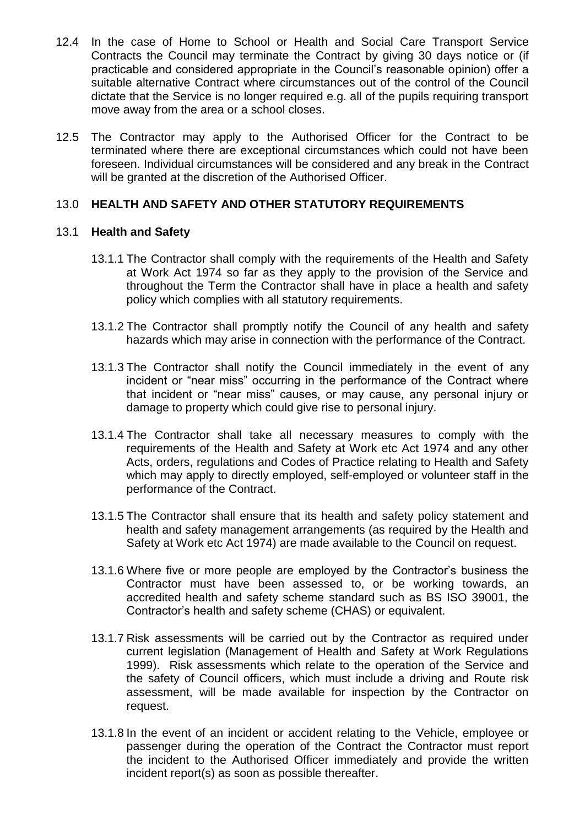- 12.4 In the case of Home to School or Health and Social Care Transport Service Contracts the Council may terminate the Contract by giving 30 days notice or (if practicable and considered appropriate in the Council's reasonable opinion) offer a suitable alternative Contract where circumstances out of the control of the Council dictate that the Service is no longer required e.g. all of the pupils requiring transport move away from the area or a school closes.
- 12.5 The Contractor may apply to the Authorised Officer for the Contract to be terminated where there are exceptional circumstances which could not have been foreseen. Individual circumstances will be considered and any break in the Contract will be granted at the discretion of the Authorised Officer.

### 13.0 **HEALTH AND SAFETY AND OTHER STATUTORY REQUIREMENTS**

### 13.1 **Health and Safety**

- 13.1.1 The Contractor shall comply with the requirements of the Health and Safety at Work Act 1974 so far as they apply to the provision of the Service and throughout the Term the Contractor shall have in place a health and safety policy which complies with all statutory requirements.
- 13.1.2 The Contractor shall promptly notify the Council of any health and safety hazards which may arise in connection with the performance of the Contract.
- 13.1.3 The Contractor shall notify the Council immediately in the event of any incident or "near miss" occurring in the performance of the Contract where that incident or "near miss" causes, or may cause, any personal injury or damage to property which could give rise to personal injury.
- 13.1.4 The Contractor shall take all necessary measures to comply with the requirements of the Health and Safety at Work etc Act 1974 and any other Acts, orders, regulations and Codes of Practice relating to Health and Safety which may apply to directly employed, self-employed or volunteer staff in the performance of the Contract.
- 13.1.5 The Contractor shall ensure that its health and safety policy statement and health and safety management arrangements (as required by the Health and Safety at Work etc Act 1974) are made available to the Council on request.
- 13.1.6 Where five or more people are employed by the Contractor's business the Contractor must have been assessed to, or be working towards, an accredited health and safety scheme standard such as BS ISO 39001, the Contractor's health and safety scheme (CHAS) or equivalent.
- 13.1.7 Risk assessments will be carried out by the Contractor as required under current legislation (Management of Health and Safety at Work Regulations 1999). Risk assessments which relate to the operation of the Service and the safety of Council officers, which must include a driving and Route risk assessment, will be made available for inspection by the Contractor on request.
- 13.1.8 In the event of an incident or accident relating to the Vehicle, employee or passenger during the operation of the Contract the Contractor must report the incident to the Authorised Officer immediately and provide the written incident report(s) as soon as possible thereafter.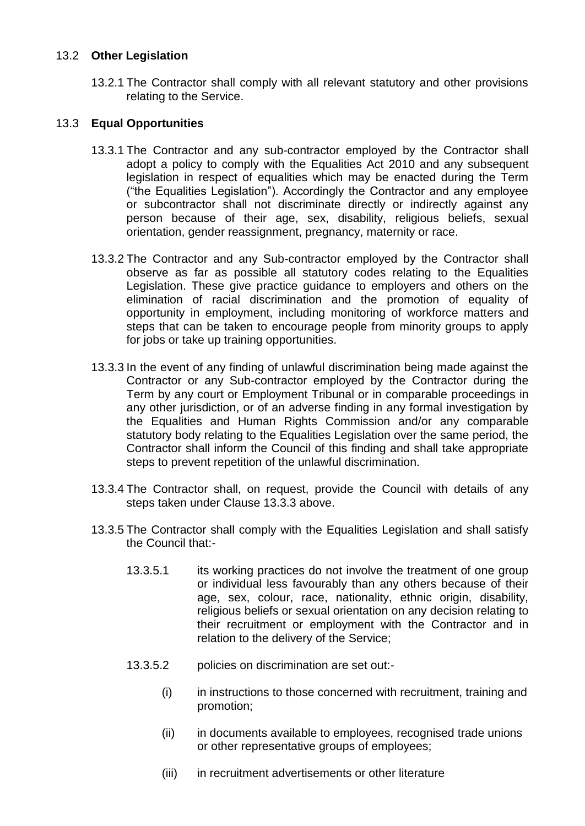### 13.2 **Other Legislation**

13.2.1 The Contractor shall comply with all relevant statutory and other provisions relating to the Service.

## 13.3 **Equal Opportunities**

- 13.3.1 The Contractor and any sub-contractor employed by the Contractor shall adopt a policy to comply with the Equalities Act 2010 and any subsequent legislation in respect of equalities which may be enacted during the Term ("the Equalities Legislation"). Accordingly the Contractor and any employee or subcontractor shall not discriminate directly or indirectly against any person because of their age, sex, disability, religious beliefs, sexual orientation, gender reassignment, pregnancy, maternity or race.
- 13.3.2 The Contractor and any Sub-contractor employed by the Contractor shall observe as far as possible all statutory codes relating to the Equalities Legislation. These give practice guidance to employers and others on the elimination of racial discrimination and the promotion of equality of opportunity in employment, including monitoring of workforce matters and steps that can be taken to encourage people from minority groups to apply for jobs or take up training opportunities.
- 13.3.3 In the event of any finding of unlawful discrimination being made against the Contractor or any Sub-contractor employed by the Contractor during the Term by any court or Employment Tribunal or in comparable proceedings in any other jurisdiction, or of an adverse finding in any formal investigation by the Equalities and Human Rights Commission and/or any comparable statutory body relating to the Equalities Legislation over the same period, the Contractor shall inform the Council of this finding and shall take appropriate steps to prevent repetition of the unlawful discrimination.
- 13.3.4 The Contractor shall, on request, provide the Council with details of any steps taken under Clause 13.3.3 above.
- 13.3.5 The Contractor shall comply with the Equalities Legislation and shall satisfy the Council that:-
	- 13.3.5.1 its working practices do not involve the treatment of one group or individual less favourably than any others because of their age, sex, colour, race, nationality, ethnic origin, disability, religious beliefs or sexual orientation on any decision relating to their recruitment or employment with the Contractor and in relation to the delivery of the Service;
	- 13.3.5.2 policies on discrimination are set out:-
		- (i) in instructions to those concerned with recruitment, training and promotion;
		- (ii) in documents available to employees, recognised trade unions or other representative groups of employees;
		- (iii) in recruitment advertisements or other literature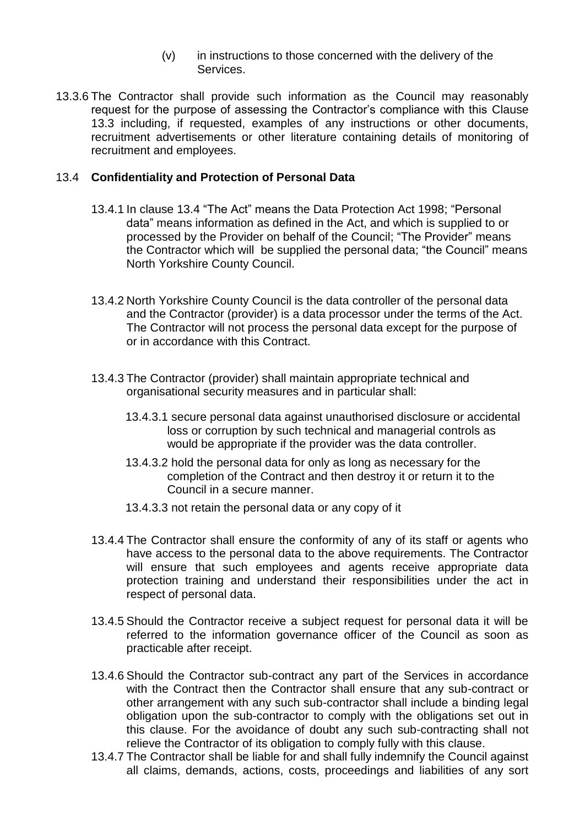- (v) in instructions to those concerned with the delivery of the Services.
- 13.3.6 The Contractor shall provide such information as the Council may reasonably request for the purpose of assessing the Contractor's compliance with this Clause 13.3 including, if requested, examples of any instructions or other documents, recruitment advertisements or other literature containing details of monitoring of recruitment and employees.

#### 13.4 **Confidentiality and Protection of Personal Data**

- 13.4.1 In clause 13.4 "The Act" means the Data Protection Act 1998; "Personal data" means information as defined in the Act, and which is supplied to or processed by the Provider on behalf of the Council; "The Provider" means the Contractor which will be supplied the personal data; "the Council" means North Yorkshire County Council.
- 13.4.2 North Yorkshire County Council is the data controller of the personal data and the Contractor (provider) is a data processor under the terms of the Act. The Contractor will not process the personal data except for the purpose of or in accordance with this Contract.
- 13.4.3 The Contractor (provider) shall maintain appropriate technical and organisational security measures and in particular shall:
	- 13.4.3.1 secure personal data against unauthorised disclosure or accidental loss or corruption by such technical and managerial controls as would be appropriate if the provider was the data controller.
	- 13.4.3.2 hold the personal data for only as long as necessary for the completion of the Contract and then destroy it or return it to the Council in a secure manner.
	- 13.4.3.3 not retain the personal data or any copy of it
- 13.4.4 The Contractor shall ensure the conformity of any of its staff or agents who have access to the personal data to the above requirements. The Contractor will ensure that such employees and agents receive appropriate data protection training and understand their responsibilities under the act in respect of personal data.
- 13.4.5 Should the Contractor receive a subject request for personal data it will be referred to the information governance officer of the Council as soon as practicable after receipt.
- 13.4.6 Should the Contractor sub-contract any part of the Services in accordance with the Contract then the Contractor shall ensure that any sub-contract or other arrangement with any such sub-contractor shall include a binding legal obligation upon the sub-contractor to comply with the obligations set out in this clause. For the avoidance of doubt any such sub-contracting shall not relieve the Contractor of its obligation to comply fully with this clause.
- 13.4.7 The Contractor shall be liable for and shall fully indemnify the Council against all claims, demands, actions, costs, proceedings and liabilities of any sort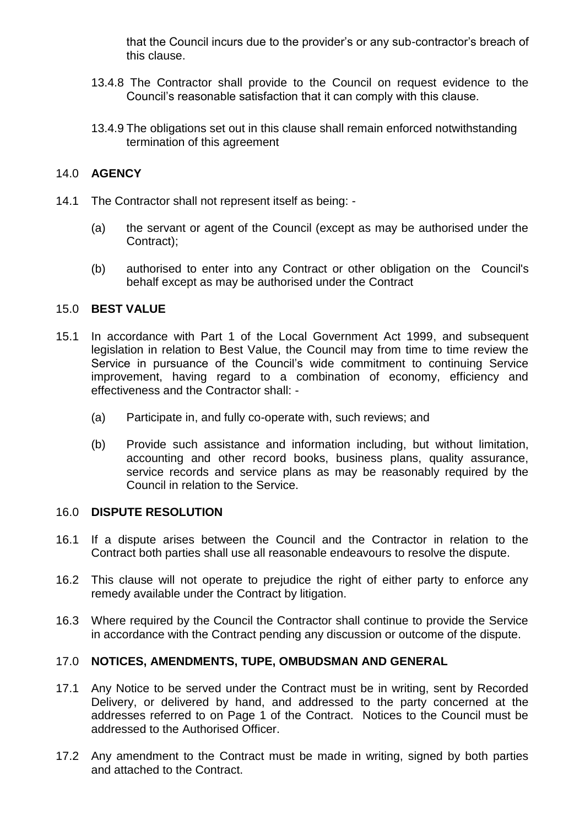that the Council incurs due to the provider's or any sub-contractor's breach of this clause.

- 13.4.8 The Contractor shall provide to the Council on request evidence to the Council's reasonable satisfaction that it can comply with this clause.
- 13.4.9 The obligations set out in this clause shall remain enforced notwithstanding termination of this agreement

## 14.0 **AGENCY**

- 14.1 The Contractor shall not represent itself as being:
	- (a) the servant or agent of the Council (except as may be authorised under the Contract);
	- (b) authorised to enter into any Contract or other obligation on the Council's behalf except as may be authorised under the Contract

### 15.0 **BEST VALUE**

- 15.1 In accordance with Part 1 of the Local Government Act 1999, and subsequent legislation in relation to Best Value, the Council may from time to time review the Service in pursuance of the Council's wide commitment to continuing Service improvement, having regard to a combination of economy, efficiency and effectiveness and the Contractor shall: -
	- (a) Participate in, and fully co-operate with, such reviews; and
	- (b) Provide such assistance and information including, but without limitation, accounting and other record books, business plans, quality assurance, service records and service plans as may be reasonably required by the Council in relation to the Service.

#### 16.0 **DISPUTE RESOLUTION**

- 16.1 If a dispute arises between the Council and the Contractor in relation to the Contract both parties shall use all reasonable endeavours to resolve the dispute.
- 16.2 This clause will not operate to prejudice the right of either party to enforce any remedy available under the Contract by litigation.
- 16.3 Where required by the Council the Contractor shall continue to provide the Service in accordance with the Contract pending any discussion or outcome of the dispute.

### 17.0 **NOTICES, AMENDMENTS, TUPE, OMBUDSMAN AND GENERAL**

- 17.1 Any Notice to be served under the Contract must be in writing, sent by Recorded Delivery, or delivered by hand, and addressed to the party concerned at the addresses referred to on Page 1 of the Contract. Notices to the Council must be addressed to the Authorised Officer.
- 17.2 Any amendment to the Contract must be made in writing, signed by both parties and attached to the Contract.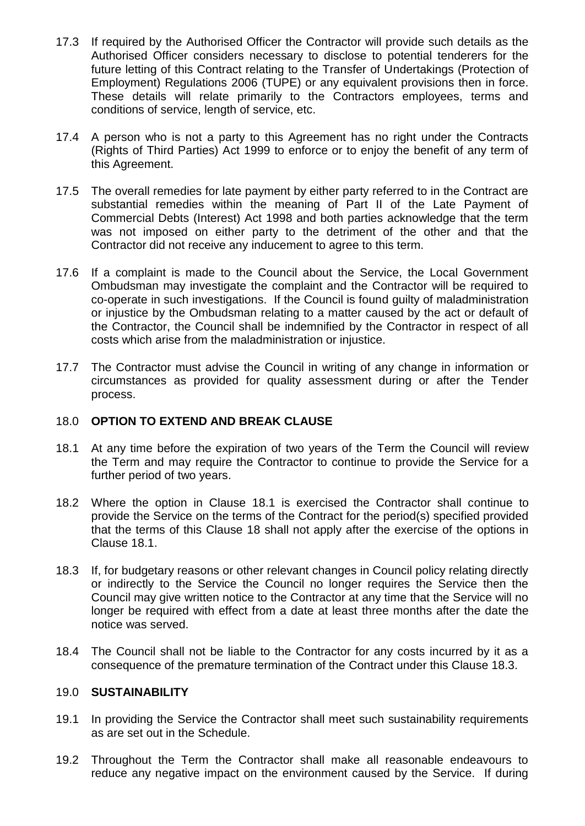- 17.3 If required by the Authorised Officer the Contractor will provide such details as the Authorised Officer considers necessary to disclose to potential tenderers for the future letting of this Contract relating to the Transfer of Undertakings (Protection of Employment) Regulations 2006 (TUPE) or any equivalent provisions then in force. These details will relate primarily to the Contractors employees, terms and conditions of service, length of service, etc.
- 17.4 A person who is not a party to this Agreement has no right under the Contracts (Rights of Third Parties) Act 1999 to enforce or to enjoy the benefit of any term of this Agreement.
- 17.5 The overall remedies for late payment by either party referred to in the Contract are substantial remedies within the meaning of Part II of the Late Payment of Commercial Debts (Interest) Act 1998 and both parties acknowledge that the term was not imposed on either party to the detriment of the other and that the Contractor did not receive any inducement to agree to this term.
- 17.6 If a complaint is made to the Council about the Service, the Local Government Ombudsman may investigate the complaint and the Contractor will be required to co-operate in such investigations. If the Council is found guilty of maladministration or injustice by the Ombudsman relating to a matter caused by the act or default of the Contractor, the Council shall be indemnified by the Contractor in respect of all costs which arise from the maladministration or injustice.
- 17.7 The Contractor must advise the Council in writing of any change in information or circumstances as provided for quality assessment during or after the Tender process.

### 18.0 **OPTION TO EXTEND AND BREAK CLAUSE**

- 18.1 At any time before the expiration of two years of the Term the Council will review the Term and may require the Contractor to continue to provide the Service for a further period of two years.
- 18.2 Where the option in Clause 18.1 is exercised the Contractor shall continue to provide the Service on the terms of the Contract for the period(s) specified provided that the terms of this Clause 18 shall not apply after the exercise of the options in Clause 18.1.
- 18.3 If, for budgetary reasons or other relevant changes in Council policy relating directly or indirectly to the Service the Council no longer requires the Service then the Council may give written notice to the Contractor at any time that the Service will no longer be required with effect from a date at least three months after the date the notice was served.
- 18.4 The Council shall not be liable to the Contractor for any costs incurred by it as a consequence of the premature termination of the Contract under this Clause 18.3.

### 19.0 **SUSTAINABILITY**

- 19.1 In providing the Service the Contractor shall meet such sustainability requirements as are set out in the Schedule.
- 19.2 Throughout the Term the Contractor shall make all reasonable endeavours to reduce any negative impact on the environment caused by the Service. If during